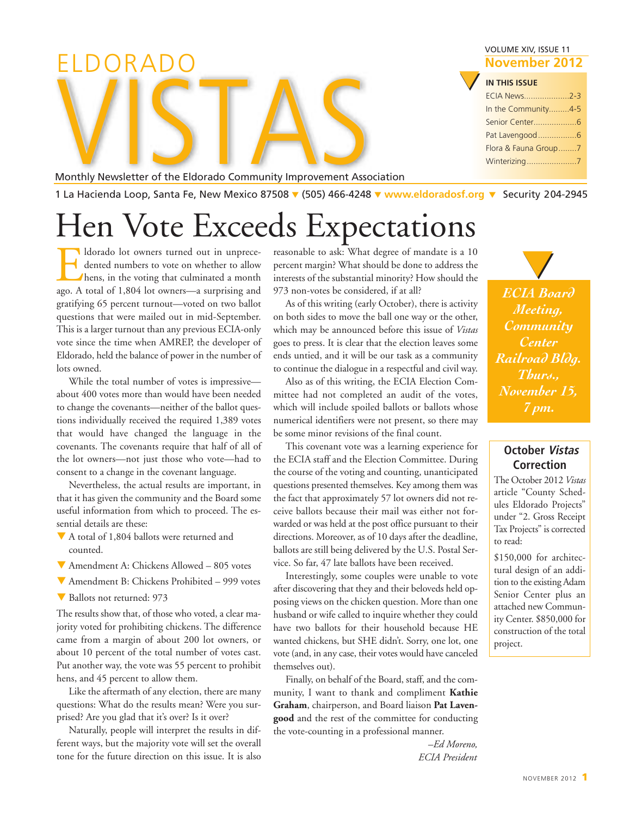| ELDORADO                                                             | VOLUME XIV, ISSUE 11<br>November 2012                                                                      |
|----------------------------------------------------------------------|------------------------------------------------------------------------------------------------------------|
|                                                                      | <b>IN THIS ISSUE</b><br><b>ECIA News2-3</b><br>In the Community4-5<br>Flora & Fauna Group7<br>Winterizing7 |
| Monthly Newsletter of the Eldorado Community Improvement Association |                                                                                                            |
|                                                                      | .                                                                                                          |

1 La Hacienda Loop, Santa Fe, New Mexico 87508 **▼** (505) 466-4248 **▼ [www.eldoradosf.org](http://www.eldoradosf.org) ▼** Security 204-2945

# Hen Vote Exceeds Expectations

Idorado lot owners turned out in unprecedented numbers to vote on whether to allow<br>hens, in the voting that culminated a month<br>ago. A total of 1.804 lot owners—a surprising and  $\blacksquare$  dented numbers to vote on whether to allow hens, in the voting that culminated a month ago. A total of 1,804 lot owners—a surprising and gratifying 65 percent turnout—voted on two ballot questions that were mailed out in mid-September. This is a larger turnout than any previous ECIA-only vote since the time when AMREP, the developer of Eldorado, held the balance of power in the number of lots owned.

While the total number of votes is impressive about 400 votes more than would have been needed to change the covenants—neither of the ballot questions individually received the required 1,389 votes that would have changed the language in the covenants. The covenants require that half of all of the lot owners—not just those who vote—had to consent to a change in the covenant language.

Nevertheless, the actual results are important, in that it has given the community and the Board some useful information from which to proceed. The essential details are these:

- $\nabla$  A total of 1,804 ballots were returned and counted.
- $\blacktriangledown$  Amendment A: Chickens Allowed 805 votes
- $\nabla$  Amendment B: Chickens Prohibited 999 votes
- Ballots not returned: 973

The results show that, of those who voted, a clear majority voted for prohibiting chickens. The difference came from a margin of about 200 lot owners, or about 10 percent of the total number of votes cast. Put another way, the vote was 55 percent to prohibit hens, and 45 percent to allow them.

Like the aftermath of any election, there are many questions: What do the results mean? Were you surprised? Are you glad that it's over? Is it over?

Naturally, people will interpret the results in different ways, but the majority vote will set the overall tone for the future direction on this issue. It is also

reasonable to ask: What degree of mandate is a 10 percent margin? What should be done to address the interests of the substantial minority? How should the 973 non-votes be considered, if at all?

As of this writing (early October), there is activity on both sides to move the ball one way or the other, which may be announced before this issue of *Vistas* goes to press. It is clear that the election leaves some ends untied, and it will be our task as a community to continue the dialogue in a respectful and civil way.

Also as of this writing, the ECIA Election Committee had not completed an audit of the votes, which will include spoiled ballots or ballots whose numerical identifiers were not present, so there may be some minor revisions of the final count.

This covenant vote was a learning experience for the ECIA staff and the Election Committee. During the course of the voting and counting, unanticipated questions presented themselves. Key among them was the fact that approximately 57 lot owners did not receive ballots because their mail was either not forwarded or was held at the post office pursuant to their directions. Moreover, as of 10 days after the deadline, ballots are still being delivered by the U.S. Postal Service. So far, 47 late ballots have been received.

Interestingly, some couples were unable to vote after discovering that they and their beloveds held opposing views on the chicken question. More than one husband or wife called to inquire whether they could have two ballots for their household because HE wanted chickens, but SHE didn't. Sorry, one lot, one vote (and, in any case, their votes would have canceled themselves out).

Finally, on behalf of the Board, staff, and the community, I want to thank and compliment **Kathie Graham**, chairperson, and Board liaison **Pat Lavengood** and the rest of the committee for conducting the vote-counting in a professional manner.

> *–Ed Moreno, ECIA President*

*ECIA Board Meeting, Community Center Railroad Bldg. Thurs., November 15, 7 pm.* 

**▼**

### **October Vistas Correction**

The October 2012 *Vistas* article "County Schedules Eldorado Projects" under "2. Gross Receipt Tax Projects" is corrected to read:

\$150,000 for architectural design of an addition to the existing Adam Senior Center plus an attached new Community Center. \$850,000 for construction of the total project.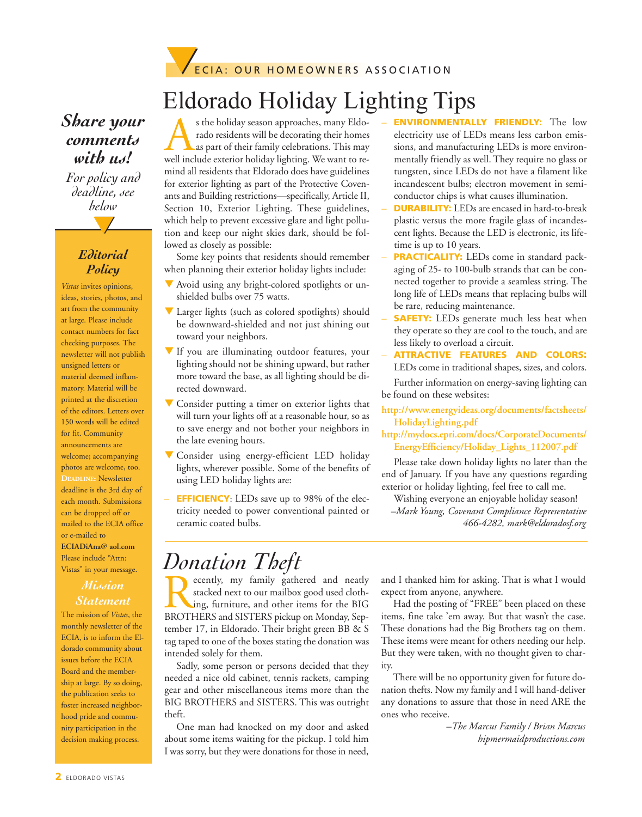

## Eldorado Holiday Lighting Tips

### *Share your comments with us!*

**▼** *For policy and deadline, see below*

### *Editorial Policy*

*Vistas* invites opinions, ideas, stories, photos, and art from the community at large. Please include contact numbers for fact checking purposes. The newsletter will not publish unsigned letters or material deemed inflammatory. Material will be printed at the discretion of the editors. Letters over 150 words will be edited for fit. Community announcements are welcome; accompanying photos are welcome, too. **DEADLINE:** Newsletter deadline is the 3rd day of each month. Submissions can be dropped off or mailed to the ECIA office or e-mailed to **ECIADiAna@ aol.com** Please include "Attn: Vistas" in your message.

## *Statement*

The mission of *Vistas*, the monthly newsletter of the ECIA, is to inform the Eldorado community about issues before the ECIA Board and the membership at large. By so doing, the publication seeks to foster increased neighborhood pride and community participation in the decision making process.

s the holiday season approaches, many Eldo-<br>rado residents will be decorating their homes<br>as part of their family celebrations. This may<br>well include exterior holiday lighting. We want to rerado residents will be decorating their homes as part of their family celebrations. This may well include exterior holiday lighting. We want to remind all residents that Eldorado does have guidelines for exterior lighting as part of the Protective Covenants and Building restrictions—specifically, Article II, Section 10, Exterior Lighting. These guidelines, which help to prevent excessive glare and light pollution and keep our night skies dark, should be followed as closely as possible:

Some key points that residents should remember when planning their exterior holiday lights include:

- $\nabla$  Avoid using any bright-colored spotlights or unshielded bulbs over 75 watts.
- $\nabla$  Larger lights (such as colored spotlights) should be downward-shielded and not just shining out toward your neighbors.
- $\nabla$  If you are illuminating outdoor features, your lighting should not be shining upward, but rather more toward the base, as all lighting should be directed downward.
- $\blacktriangledown$  Consider putting a timer on exterior lights that will turn your lights off at a reasonable hour, so as to save energy and not bother your neighbors in the late evening hours.
- Consider using energy-efficient LED holiday lights, wherever possible. Some of the benefits of using LED holiday lights are:
- **EFFICIENCY**: LEDs save up to 98% of the electricity needed to power conventional painted or ceramic coated bulbs.
- **ENVIRONMENTALLY FRIENDLY:** The low electricity use of LEDs means less carbon emissions, and manufacturing LEDs is more environmentally friendly as well. They require no glass or tungsten, since LEDs do not have a filament like incandescent bulbs; electron movement in semiconductor chips is what causes illumination.
- **DURABILITY:** LEDs are encased in hard-to-break plastic versus the more fragile glass of incandescent lights. Because the LED is electronic, its lifetime is up to 10 years.
- **PRACTICALITY:** LEDs come in standard packaging of 25- to 100-bulb strands that can be connected together to provide a seamless string. The long life of LEDs means that replacing bulbs will be rare, reducing maintenance.
- **SAFETY:** LEDs generate much less heat when they operate so they are cool to the touch, and are less likely to overload a circuit.
- **ATTRACTIVE FEATURES AND COLORS:** LEDs come in traditional shapes, sizes, and colors.

Further information on energy-saving lighting can be found on these websites:

- **http://www.energyideas.org/documents/factsheets/ HolidayLighting.pdf**
- **http://mydocs.epri.com/docs/CorporateDocuments/ EnergyEfficiency/Holiday\_Lights\_112007.pdf**

Please take down holiday lights no later than the end of January. If you have any questions regarding exterior or holiday lighting, feel free to call me.

Wishing everyone an enjoyable holiday season! *–Mark Young, Covenant Compliance Representative 466-4282, mark@eldoradosf.org*

# *Donation Theft*<br>**P** ecently, my family gathered and neatly

Recently, my family gathered and neatly stacked next to our mailbox good used clothing, furniture, and other items for the BIG BROTHERS and SISTERS pickup on Monday, Sepstacked next to our mailbox good used clothing, furniture, and other items for the BIG tember 17, in Eldorado. Their bright green BB & S tag taped to one of the boxes stating the donation was intended solely for them.

Sadly, some person or persons decided that they needed a nice old cabinet, tennis rackets, camping gear and other miscellaneous items more than the BIG BROTHERS and SISTERS. This was outright theft.

One man had knocked on my door and asked about some items waiting for the pickup. I told him I was sorry, but they were donations for those in need,

and I thanked him for asking. That is what I would expect from anyone, anywhere.

Had the posting of "FREE" been placed on these items, fine take 'em away. But that wasn't the case. These donations had the Big Brothers tag on them. These items were meant for others needing our help. But they were taken, with no thought given to charity.

There will be no opportunity given for future donation thefts. Now my family and I will hand-deliver any donations to assure that those in need ARE the ones who receive.

> *–The Marcus Family / Brian Marcus hipmermaidproductions.com*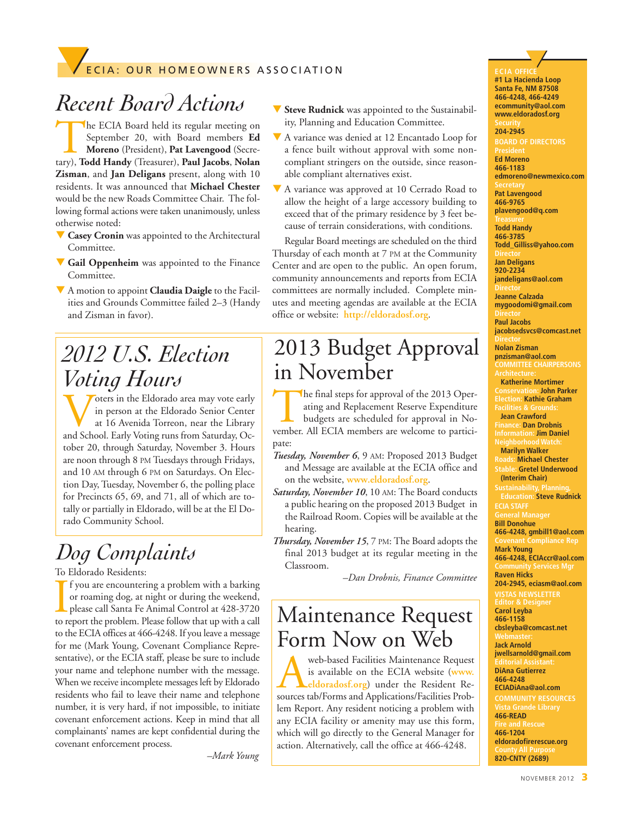## **FECIA: OUR HOMEOWNERS ASSOCIATION**

## *Recent Board Actions*

The ECIA Board held its regular meeting on September 20, with Board members **Ed Moreno** (President), **Pat Lavengood** (Secretary), **Todd Handy** (Treasurer), **Paul Jacobs**, **Nolan** September 20, with Board members **Ed Moreno** (President), **Pat Lavengood** (Secre-**Zisman**, and **Jan Deligans** present, along with 10 residents. It was announced that **Michael Chester** would be the new Roads Committee Chair. The following formal actions were taken unanimously, unless otherwise noted:

- **Casey Cronin** was appointed to the Architectural Committee.
- **V** Gail Oppenheim was appointed to the Finance Committee.
- q A motion to appoint **Claudia Daigle** to the Facilities and Grounds Committee failed 2–3 (Handy and Zisman in favor).

## *2012 U.S. Election Voting Hours*

Voters in the Eldorado area may vote early<br>
at 16 Avenida Torreon, near the Library<br>
and School. Early Voting runs from Saturday, Ocin person at the Eldorado Senior Center at 16 Avenida Torreon, near the Library tober 20, through Saturday, November 3. Hours are noon through 8 PM Tuesdays through Fridays, and 10 AM through 6 PM on Saturdays. On Election Day, Tuesday, November 6, the polling place for Precincts 65, 69, and 71, all of which are totally or partially in Eldorado, will be at the El Dorado Community School.

## *Dog Complaints*

### To Eldorado Residents:

If you are encountering a problem with a barking<br>or roaming dog, at night or during the weekend,<br>please call Santa Fe Animal Control at 428-3720<br>to report the problem. Please follow that up with a call f you are encountering a problem with a barking or roaming dog, at night or during the weekend, please call Santa Fe Animal Control at 428-3720 to the ECIA offices at 466-4248. If you leave a message for me (Mark Young, Covenant Compliance Representative), or the ECIA staff, please be sure to include your name and telephone number with the message. When we receive incomplete messages left by Eldorado residents who fail to leave their name and telephone number, it is very hard, if not impossible, to initiate covenant enforcement actions. Keep in mind that all complainants' names are kept confidential during the covenant enforcement process.

*–Mark Young*

- **V** Steve Rudnick was appointed to the Sustainability, Planning and Education Committee.
- A variance was denied at 12 Encantado Loop for a fence built without approval with some noncompliant stringers on the outside, since reasonable compliant alternatives exist.
- A variance was approved at 10 Cerrado Road to allow the height of a large accessory building to exceed that of the primary residence by 3 feet because of terrain considerations, with conditions.

Regular Board meetings are scheduled on the third Thursday of each month at 7 PM at the Community Center and are open to the public. An open forum, community announcements and reports from ECIA committees are normally included. Complete minutes and meeting agendas are available at the ECIA office or website: **http://eldoradosf.org**.

## 2013 Budget Approval in November

The final steps for approval of the 2013 Operating and Replacement Reserve Expenditure budgets are scheduled for approval in November. All ECIA members are welcome to participate:

- *Tuesday, November 6*, 9 AM: Proposed 2013 Budget and Message a[re available at the ECIA](http://www.eldoradosf.org) office and on the website, **www.eldoradosf.org**.
- *Saturday, November 10*, 10 AM: The Board conducts a public hearing on the proposed 2013 Budget in the Railroad Room. Copies will be available at the hearing.
- *Thursday, November 15*, 7 PM: The Board adopts the final 2013 budget at its regular meeting in the Classroom.

*–Dan Drobnis, Finance Committee*

## Maintenance Request Form Now on Web

web-based Facilities Maintenance Request<br>is available on the ECI[A](http://www.eldoradosf.org) website (www.<br>sources tab/Forms and Applications/Facilities Probis available on the ECIA website (**www. eldoradosf.org**) under the Resident Relem Report. Any resident noticing a problem with any ECIA facility or amenity may use this form, which will go directly to the General Manager for action. Alternatively, call the office at 466-4248.

**ECIA OFFICE ▼ #1 La Hacienda Loop Santa Fe, NM 87508 466-4248, 466-4249 ecommunity@aol.com www.eldoradosf.org**

**204-2945 BOARD OF DIRECTORS Ed Moreno 466-1183 edmoreno@newmexico.com Pat Lavengood 466-9765 plavengood@q.com Todd Handy 466-3785**

**Todd\_Gilliss@yahoo.com Jan Deligans 920-2234**

**jandeligans@aol.com**

**Jeanne Calzada mygoodomi@gmail.com Paul Jacobs jacobsedsvcs@comcast.net**

**Nolan Zisman pnzisman@aol.com COMMITTEE CHAIRPERSONS**

**Katherine Mortimer Conservation: John Parker Election: Kathie Graham**

**Jean Crawford Finance: Dan Drobnis Information: Jim Daniel**

**Neighborhood Watch: Marilyn Walker**

**Roads: Michael Chester Stable: Gretel Underwood** 

**(Interim Chair)** 

**Education: Steve Rudnick ECIA STAFF** 

**Bill Donohue 466-4248, gmbill1@aol.com mpliance Re Mark Young 466-4248, ECIAccr@aol.com Community Services Mgr Raven Hicks 204-2945, eciasm@aol.com VISTAS NEWSLETTER**

**Editor & Designer Carol Leyba 466-1158 cbsleyba@comcast.net**

**Webmaster: Jack Arnold jwellsarnold@gmail.com**

**Editorial Assistant: DiAna Gutierrez 466-4248**

**ECIADiAna@aol.com**

**466-READ** 

**Fire and Rescue 466-1204 eldoradofirerescue.org 820-CNTY (2689)**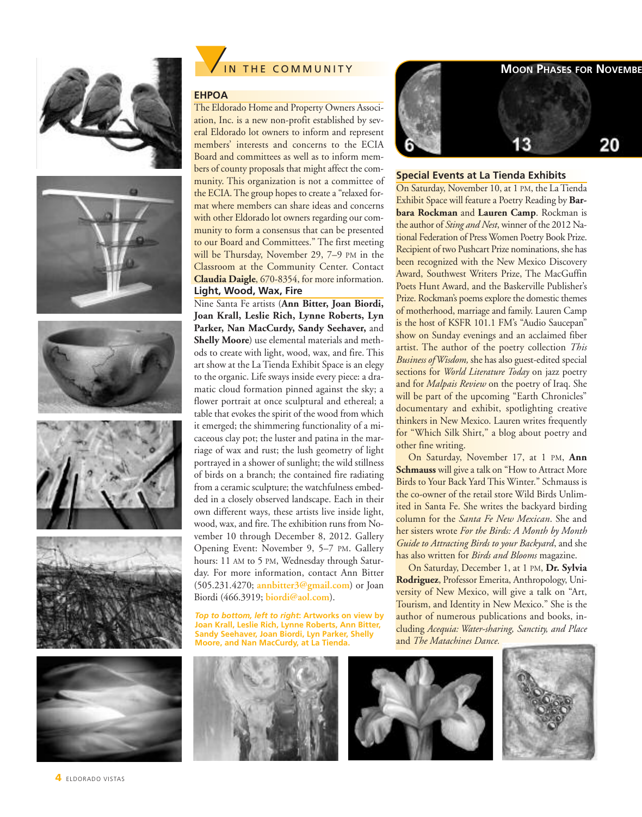













### **EHPOA**

The Eldorado Home and Property Owners Association, Inc. is a new non-profit established by several Eldorado lot owners to inform and represent members' interests and concerns to the ECIA Board and committees as well as to inform members of county proposals that might affect the community. This organization is not a committee of the ECIA. The group hopes to create a "relaxed format where members can share ideas and concerns with other Eldorado lot owners regarding our community to form a consensus that can be presented to our Board and Committees." The first meeting will be Thursday, November 29, 7-9 PM in the Classroom at the Community Center. Contact **Claudia Daigle**, 670-8354, for more information. **Light, Wood, Wax, Fire**

Nine Santa Fe artists (**Ann Bitter, Joan Biordi, Joan Krall, Leslie Rich, Lynne Roberts, Lyn Parker, Nan MacCurdy, Sandy Seehaver,** and **Shelly Moore**) use elemental materials and methods to create with light, wood, wax, and fire. This art show at the La Tienda Exhibit Space is an elegy to the organic. Life sways inside every piece: a dramatic cloud formation pinned against the sky; a flower portrait at once sculptural and ethereal; a table that evokes the spirit of the wood from which it emerged; the shimmering functionality of a micaceous clay pot; the luster and patina in the marriage of wax and rust; the lush geometry of light portrayed in a shower of sunlight; the wild stillness of birds on a branch; the contained fire radiating from a ceramic sculpture; the watchfulness embedded in a closely observed landscape. Each in their own different ways, these artists live inside light, wood, wax, and fire. The exhibition runs from November 10 through December 8, 2012. Gallery Opening Event: November 9, 5–7 PM. Gallery hours: 11 AM to 5 PM, Wednesday through Saturday. For more information, contact Ann Bitter (505.231.4270; **annbitter3@gmail.com**) or Joan Biordi (466.3919; **biordi@aol.com**).

*Top to bottom, left to right***: Artworks on view by Joan Krall, Leslie Rich, Lynne Roberts, Ann Bitter, Sandy Seehaver, Joan Biordi, Lyn Parker, Shelly Moore, and Nan MacCurdy, at La Tienda.**





#### **Special Events at La Tienda Exhibits**

On Saturday, November 10, at 1 PM, the La Tienda Exhibit Space will feature a Poetry Reading by **Barbara Rockman** and **Lauren Camp**. Rockman is the author of *Sting and Nest*, winner of the 2012 National Federation of Press Women Poetry Book Prize. Recipient of two Pushcart Prize nominations, she has been recognized with the New Mexico Discovery Award, Southwest Writers Prize, The MacGuffin Poets Hunt Award, and the Baskerville Publisher's Prize. Rockman's poems explore the domestic themes of motherhood, marriage and family. Lauren Camp is the host of KSFR 101.1 FM's "Audio Saucepan" show on Sunday evenings and an acclaimed fiber artist. The author of the poetry collection *This Business of Wisdom,* she has also guest-edited special sections for *World Literature Today* on jazz poetry and for *Malpais Review* on the poetry of Iraq. She will be part of the upcoming "Earth Chronicles" documentary and exhibit, spotlighting creative thinkers in New Mexico. Lauren writes frequently for "Which Silk Shirt," a blog about poetry and other fine writing.

On Saturday, November 17, at 1 PM, **Ann Schmauss** will give a talk on "How to Attract More Birds to Your Back Yard This Winter." Schmauss is the co-owner of the retail store Wild Birds Unlimited in Santa Fe. She writes the backyard birding column for the *Santa Fe New Mexican*. She and her sisters wrote *For the Birds: A Month by Month Guide to Attracting Birds to your Backyard*, and she has also written for *Birds and Blooms* magazine.

On Saturday, December 1, at 1 PM, **Dr. Sylvia Rodriguez**, Professor Emerita, Anthropology, University of New Mexico, will give a talk on "Art, Tourism, and Identity in New Mexico." She is the author of numerous publications and books, including *Acequia: Water-sharing, Sanctity, and Place* and *The Matachines Dance.*



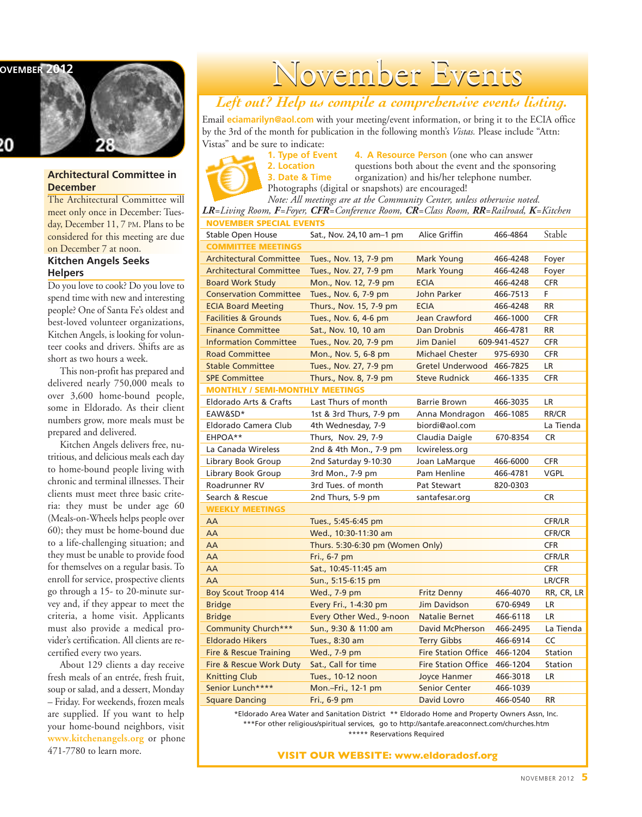**NOVEMBER 2012** 



### **Architectural Committee in December**

The Architectural Committee will meet only once in December: Tuesday, December 11, 7 PM. Plans to be considered for this meeting are due on December 7 at noon. **Kitchen Angels Seeks**

### **Helpers**

Do you love to cook? Do you love to spend time with new and interesting people? One of Santa Fe's oldest and best-loved volunteer organizations, Kitchen Angels, is looking for volunteer cooks and drivers. Shifts are as short as two hours a week.

This non-profit has prepared and delivered nearly 750,000 meals to over 3,600 home-bound people, some in Eldorado. As their client numbers grow, more meals must be prepared and delivered.

Kitchen Angels delivers free, nutritious, and delicious meals each day to home-bound people living with chronic and terminal illnesses. Their clients must meet three basic criteria: they must be under age 60 (Meals-on-Wheels helps people over 60); they must be home-bound due to a life-challenging situation; and they must be unable to provide food for themselves on a regular basis. To enroll for service, prospective clients go through a 15- to 20-minute survey and, if they appear to meet the criteria, a home visit. Applicants must also provide a medical provider's certification. All clients are recertified every two years.

About 129 clients a day receive fresh meals of an entrée, fresh fruit, soup or salad, and a dessert, Monday – Friday. For weekends, frozen meals are supplied. If you want to help your home-bound neighbors, visit **[www.kitchenangels.org](http://www.kitchenangels.org)** or phone 471-7780 to learn more.

# November Events

### *Left out? Help us compile a comprehensive events listing.*

Email **eciamarilyn@aol.com** with your meeting/event information, or bring it to the ECIA office by the 3rd of the month for publication in the following month's *Vistas.* Please include "Attn: Vistas" and be sure to indicate:

**1. Type of Event 4. A Resource Person** (one who can answer<br>**2. Location** and the spons and the spons questions both about the event and the sponsoring **3. Date & Time** organization) and his/her telephone number. Photographs (digital or snapshots) are encouraged!

*Note: All meetings are at the Community Center, unless otherwise noted. LR=Living Room, F=Foyer, CFR=Conference Room, CR=Class Room, RR=Railroad, K=Kitchen*

| <b>NOVEMBER SPECIAL EVENTS</b>         |                                  |                            |              |               |
|----------------------------------------|----------------------------------|----------------------------|--------------|---------------|
| <b>Stable Open House</b>               | Sat., Nov. 24,10 am-1 pm         | Alice Griffin              | 466-4864     | Stable        |
| <b>COMMITTEE MEETINGS</b>              |                                  |                            |              |               |
| <b>Architectural Committee</b>         | Tues., Nov. 13, 7-9 pm           | Mark Young                 | 466-4248     | Foyer         |
| <b>Architectural Committee</b>         | Tues., Nov. 27, 7-9 pm           | Mark Young                 | 466-4248     | Foyer         |
| <b>Board Work Study</b>                | Mon., Nov. 12, 7-9 pm            | <b>ECIA</b>                | 466-4248     | <b>CFR</b>    |
| <b>Conservation Committee</b>          | Tues., Nov. 6, 7-9 pm            | John Parker                | 466-7513     | F.            |
| <b>ECIA Board Meeting</b>              | Thurs., Nov. 15, 7-9 pm          | <b>ECIA</b>                | 466-4248     | <b>RR</b>     |
| <b>Facilities &amp; Grounds</b>        | Tues., Nov. 6, 4-6 pm            | Jean Crawford              | 466-1000     | <b>CFR</b>    |
| <b>Finance Committee</b>               | Sat., Nov. 10, 10 am             | Dan Drobnis                | 466-4781     | <b>RR</b>     |
| <b>Information Committee</b>           | Tues., Nov. 20, 7-9 pm           | Jim Daniel                 | 609-941-4527 | <b>CFR</b>    |
| <b>Road Committee</b>                  | Mon., Nov. 5, 6-8 pm             | <b>Michael Chester</b>     | 975-6930     | <b>CFR</b>    |
| <b>Stable Committee</b>                | Tues., Nov. 27, 7-9 pm           | Gretel Underwood 466-7825  |              | LR.           |
| <b>SPE Committee</b>                   | Thurs., Nov. 8, 7-9 pm           | <b>Steve Rudnick</b>       | 466-1335     | <b>CFR</b>    |
| <b>MONTHLY / SEMI-MONTHLY MEETINGS</b> |                                  |                            |              |               |
| Eldorado Arts & Crafts                 | Last Thurs of month              | Barrie Brown               | 466-3035     | LR            |
| EAW&SD*                                | 1st & 3rd Thurs, 7-9 pm          | Anna Mondragon             | 466-1085     | RR/CR         |
| Eldorado Camera Club                   | 4th Wednesday, 7-9               | biordi@aol.com             |              | La Tienda     |
| EHPOA**                                | Thurs, Nov. 29, 7-9              | Claudia Daigle             | 670-8354     | <b>CR</b>     |
| La Canada Wireless                     | 2nd & 4th Mon., 7-9 pm           | lcwireless.org             |              |               |
| Library Book Group                     | 2nd Saturday 9-10:30             | Joan LaMarque              | 466-6000     | <b>CFR</b>    |
| Library Book Group                     | 3rd Mon., 7-9 pm                 | Pam Henline                | 466-4781     | <b>VGPL</b>   |
| Roadrunner RV                          | 3rd Tues, of month               | Pat Stewart                | 820-0303     |               |
| Search & Rescue                        | 2nd Thurs, 5-9 pm                | santafesar.org             |              | CR            |
| <b>WEEKLY MEETINGS</b>                 |                                  |                            |              |               |
| AA                                     | Tues., 5:45-6:45 pm              |                            |              | CFR/LR        |
| AA                                     | Wed., 10:30-11:30 am             |                            |              | CFR/CR        |
| AA                                     | Thurs. 5:30-6:30 pm (Women Only) |                            |              | <b>CFR</b>    |
| AA                                     | Fri., 6-7 pm                     |                            |              | <b>CFR/LR</b> |
| AA                                     | Sat., 10:45-11:45 am             |                            |              | <b>CFR</b>    |
| AA                                     | Sun., 5:15-6:15 pm               |                            |              | LR/CFR        |
| <b>Boy Scout Troop 414</b>             | Wed., 7-9 pm                     | Fritz Denny                | 466-4070     | RR, CR, LR    |
| <b>Bridge</b>                          | Every Fri., 1-4:30 pm            | Jim Davidson               | 670-6949     | LR            |
| <b>Bridge</b>                          | Every Other Wed., 9-noon         | <b>Natalie Bernet</b>      | 466-6118     | <b>LR</b>     |
| Community Church***                    | Sun., 9:30 & 11:00 am            | <b>David McPherson</b>     | 466-2495     | La Tienda     |
| <b>Eldorado Hikers</b>                 | Tues., 8:30 am                   | <b>Terry Gibbs</b>         | 466-6914     | CC            |
| Fire & Rescue Training                 | Wed., 7-9 pm                     | <b>Fire Station Office</b> | 466-1204     | Station       |
| Fire & Rescue Work Duty                | Sat., Call for time              | <b>Fire Station Office</b> | 466-1204     | Station       |
| <b>Knitting Club</b>                   | Tues., 10-12 noon                | <b>Joyce Hanmer</b>        | 466-3018     | <b>LR</b>     |
| Senior Lunch****                       | Mon.-Fri., 12-1 pm               | <b>Senior Center</b>       | 466-1039     |               |
| <b>Square Dancing</b>                  | Fri., 6-9 pm                     | David Lovro                | 466-0540     | <b>RR</b>     |
|                                        |                                  |                            |              |               |

\*Eldorado Area Water and Sanitation District \*\* Eldorado Home and Property Owners Assn, Inc. \*\*\*For other religious/spiritual services, go to http://santafe.areaconnect.com/churches.htm \*\*\*\*\* Reservations Required

**VISIT OUR WEBSITE: [www.eldoradosf.org](http://www.eldoradosf.org)**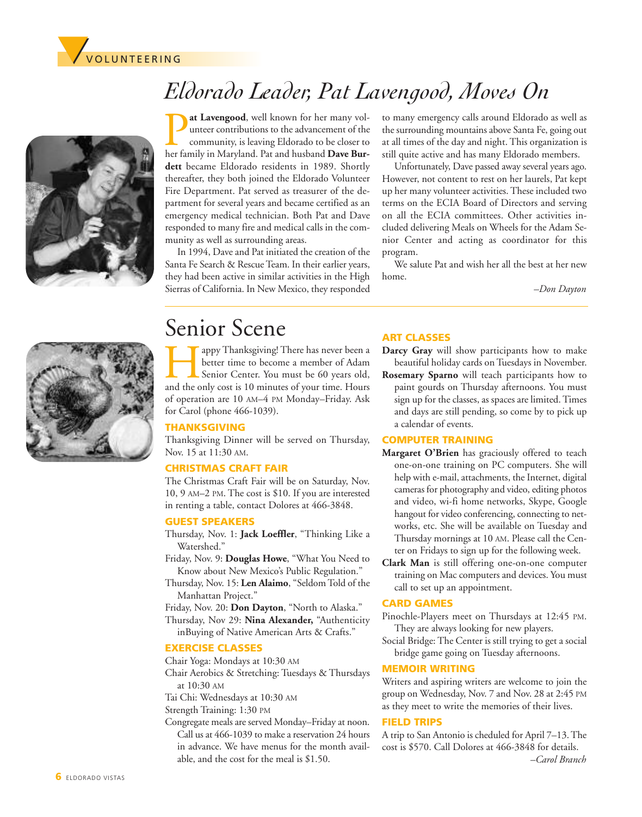



*Eldorado Leader, Pat Lavengood, Moves On*

at Lavengood, well known for her many volunteer contributions to the advancement of the community, is leaving Eldorado to be closer to her family in Maryland. Pat and husband **Dave Burdett** became Eldorado residents in 1989. Shortly thereafter, they both joined the Eldorado Volunteer Fire Department. Pat served as treasurer of the department for several years and became certified as an emergency medical technician. Both Pat and Dave responded to many fire and medical calls in the community as well as surrounding areas.

In 1994, Dave and Pat initiated the creation of the Santa Fe Search & Rescue Team. In their earlier years, they had been active in similar activities in the High Sierras of California. In New Mexico, they responded

to many emergency calls around Eldorado as well as the surrounding mountains above Santa Fe, going out at all times of the day and night. This organization is still quite active and has many Eldorado members.

Unfortunately, Dave passed away several years ago. However, not content to rest on her laurels, Pat kept up her many volunteer activities. These included two terms on the ECIA Board of Directors and serving on all the ECIA committees. Other activities included delivering Meals on Wheels for the Adam Senior Center and acting as coordinator for this program.

We salute Pat and wish her all the best at her new home.

*–Don Dayton*



## Senior Scene

**Happy Thanksgiving! There has never been a** better time to become a member of Adam Senior Center. You must be 60 years old, and the only cost is 10 minutes of your time. Hours better time to become a member of Adam Senior Center. You must be 60 years old, of operation are 10 AM–4 PM Monday–Friday. Ask for Carol (phone 466-1039).

### **THANKSGIVING**

Thanksgiving Dinner will be served on Thursday, Nov. 15 at 11:30 AM.

### **CHRISTMAS CRAFT FAIR**

The Christmas Craft Fair will be on Saturday, Nov. 10, 9 AM–2 PM. The cost is \$10. If you are interested in renting a table, contact Dolores at 466-3848.

#### **GUEST SPEAKERS**

- Thursday, Nov. 1: **Jack Loeffler**, "Thinking Like a Watershed."
- Friday, Nov. 9: **Douglas Howe**, "What You Need to Know about New Mexico's Public Regulation."
- Thursday, Nov. 15: **Len Alaimo**, "Seldom Told of the Manhattan Project."
- Friday, Nov. 20: **Don Dayton**, "North to Alaska."
- Thursday, Nov 29: **Nina Alexander,** "Authenticity inBuying of Native American Arts & Crafts."

### **EXERCISE CLASSES**

- Chair Yoga: Mondays at 10:30 AM Chair Aerobics & Stretching: Tuesdays & Thursdays at 10:30 AM
- Tai Chi: Wednesdays at 10:30 AM

Strength Training: 1:30 PM

Congregate meals are served Monday–Friday at noon. Call us at 466-1039 to make a reservation 24 hours in advance. We have menus for the month available, and the cost for the meal is \$1.50.

### **ART CLASSES**

- **Darcy Gray** will show participants how to make beautiful holiday cards on Tuesdays in November.
- **Rosemary Sparno** will teach participants how to paint gourds on Thursday afternoons. You must sign up for the classes, as spaces are limited. Times and days are still pending, so come by to pick up a calendar of events.

### **COMPUTER TRAINING**

- **Margaret O'Brien** has graciously offered to teach one-on-one training on PC computers. She will help with e-mail, attachments, the Internet, digital cameras for photography and video, editing photos and video, wi-fi home networks, Skype, Google hangout for video conferencing, connecting to networks, etc. She will be available on Tuesday and Thursday mornings at 10 AM. Please call the Center on Fridays to sign up for the following week.
- **Clark Man** is still offering one-on-one computer training on Mac computers and devices. You must call to set up an appointment.

### **CARD GAMES**

- Pinochle-Players meet on Thursdays at 12:45 PM. They are always looking for new players.
- Social Bridge: The Center is still trying to get a social bridge game going on Tuesday afternoons.

### **MEMOIR WRITING**

Writers and aspiring writers are welcome to join the group on Wednesday, Nov. 7 and Nov. 28 at 2:45 PM as they meet to write the memories of their lives.

### **FIELD TRIPS**

A trip to San Antonio is cheduled for April 7–13. The cost is \$570. Call Dolores at 466-3848 for details. *–Carol Branch*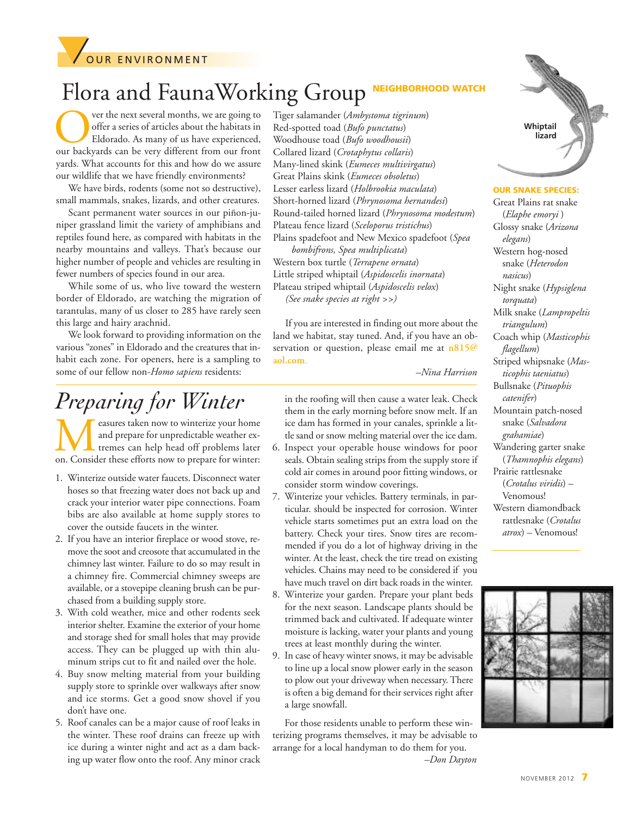

## Flora and FaunaWorking Group NEIGHBORHOOD

ver the next several months, we are going to offer a series of articles about the habitats in Eldorado. As many of us have experienced, our backyards can be very different from our front yards. What accounts for this and how do we assure our wildlife that we have friendly environments?

We have birds, rodents (some not so destructive), small mammals, snakes, lizards, and other creatures.

Scant permanent water sources in our piñon-juniper grassland limit the variety of amphibians and reptiles found here, as compared with habitats in the nearby mountains and valleys. That's because our higher number of people and vehicles are resulting in fewer numbers of species found in our area.

While some of us, who live toward the western border of Eldorado, are watching the migration of tarantulas, many of us closer to 285 have rarely seen this large and hairy arachnid.

We look forward to providing information on the various "zones" in Eldorado and the creatures that inhabit each zone. For openers, here is a sampling to some of our fellow non-*Homo sapiens* residents:

## *Preparing for Winter*

**M**easures taken now to winterize your home<br>and prepare for unpredictable weather ex-<br>tremes can help head off problems later<br>on. Consider these efforts now to prepare for winter: and prepare for unpredictable weather extremes can help head off problems later

- 1. Winterize outside water faucets. Disconnect water hoses so that freezing water does not back up and crack your interior water pipe connections. Foam bibs are also available at home supply stores to cover the outside faucets in the winter.
- 2. If you have an interior fireplace or wood stove, remove the soot and creosote that accumulated in the chimney last winter. Failure to do so may result in a chimney fire. Commercial chimney sweeps are available, or a stovepipe cleaning brush can be purchased from a building supply store.
- 3. With cold weather, mice and other rodents seek interior shelter. Examine the exterior of your home and storage shed for small holes that may provide access. They can be plugged up with thin aluminum strips cut to fit and nailed over the hole.
- 4. Buy snow melting material from your building supply store to sprinkle over walkways after snow and ice storms. Get a good snow shovel if you don't have one.
- 5. Roof canales can be a major cause of roof leaks in the winter. These roof drains can freeze up with ice during a winter night and act as a dam backing up water flow onto the roof. Any minor crack

Tiger salamander (*Ambystoma tigrinum*) Red-spotted toad (*Bufo punctatus*) Woodhouse toad (*Bufo woodhousii*) Collared lizard (*Crotaphytus collaris*) Many-lined skink (*Eumeces multivirgatus*) Great Plains skink (*Eumeces obsoletus*) Lesser earless lizard (*Holbrookia maculata*) Short-horned lizard (*Phrynosoma hernandesi*) Round-tailed horned lizard (*Phrynosoma modestum*) Plateau fence lizard (*Sceloporus tristichus*) Plains spadefoot and New Mexico spadefoot (*Spea*

*bombifrons, Spea multiplicata*) Western box turtle (*Terrapene ornata*) Little striped whiptail (*Aspidoscelis inornata*) Plateau striped whiptail (*Aspidoscelis velox*) *(See snake species at right >>)*

If you are interested in finding out more about the land we habitat, stay tuned. And, if you have an observation or question, please email me at **n815@ aol.com**.

*–Nina Harrison*

- in the roofing will then cause a water leak. Check them in the early morning before snow melt. If an ice dam has formed in your canales, sprinkle a little sand or snow melting material over the ice dam.
- 6. Inspect your operable house windows for poor seals. Obtain sealing strips from the supply store if cold air comes in around poor fitting windows, or consider storm window coverings.
- 7. Winterize your vehicles. Battery terminals, in particular. should be inspected for corrosion. Winter vehicle starts sometimes put an extra load on the battery. Check your tires. Snow tires are recommended if you do a lot of highway driving in the winter. At the least, check the tire tread on existing vehicles. Chains may need to be considered if you have much travel on dirt back roads in the winter.
- 8. Winterize your garden. Prepare your plant beds for the next season. Landscape plants should be trimmed back and cultivated. If adequate winter moisture is lacking, water your plants and young trees at least monthly during the winter.
- 9. In case of heavy winter snows, it may be advisable to line up a local snow plower early in the season to plow out your driveway when necessary. There is often a big demand for their services right after a large snowfall.

For those residents unable to perform these winterizing programs themselves, it may be advisable to arrange for a local handyman to do them for you. *–Don Dayton*



**OUR SNAKE SPECIES:**

Great Plains rat snake (*Elaphe emoryi* ) Glossy snake (*Arizona elegans*) Western hog-nosed snake (*Heterodon nasicus*) Night snake (*Hypsiglena torquata*) Milk snake (*Lampropeltis triangulum*) Coach whip (*Masticophis flagellum*) Striped whipsnake (*Masticophis taeniatus*) Bullsnake (*Pituophis catenifer*) Mountain patch-nosed snake (*Salvadora grahamiae*) Wandering garter snake (*Thamnophis elegans*) Prairie rattlesnake (*Crotalus viridis*) – Venomous! Western diamondback rattlesnake (*Crotalus atrox*) – Venomous!